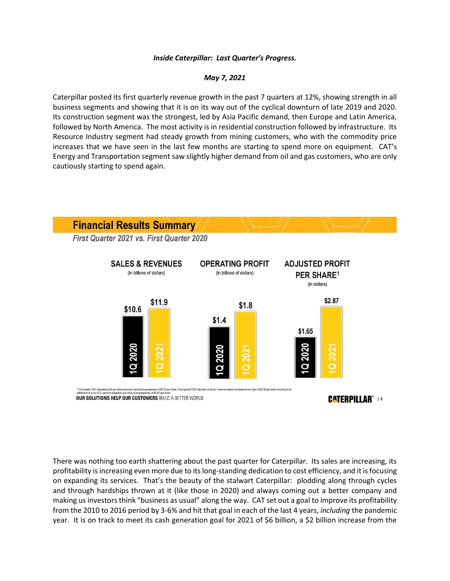## *Inside Caterpillar: Last Quarter's Progress.*

## *May 7, 2021*

Caterpillar posted its first quarterly revenue growth in the past 7 quarters at 12%, showing strength in all business segments and showing that it is on its way out of the cyclical downturn of late 2019 and 2020. Its construction segment was the strongest, led by Asia Pacific demand, then Europe and Latin America, followed by North America. The most activity is in residential construction followed by infrastructure. Its Resource Industry segment had steady growth from mining customers, who with the commodity price increases that we have seen in the last few months are starting to spend more on equipment. CAT's Energy and Transportation segment saw slightly higher demand from oil and gas customers, who are only cautiously starting to spend again.



There was nothing too earth shattering about the past quarter for Caterpillar. Its sales are increasing, its profitability is increasing even more due to its long-standing dedication to cost efficiency, and it is focusing on expanding its services. That's the beauty of the stalwart Caterpillar: plodding along through cycles and through hardships thrown at it (like those in 2020) and always coming out a better company and making us investors think "business as usual" along the way. CAT set out a goal to improve its profitability from the 2010 to 2016 period by 3-6% and hit that goal in each of the last 4 years, *including* the pandemic year. It is on track to meet its cash generation goal for 2021 of \$6 billion, a \$2 billion increase from the